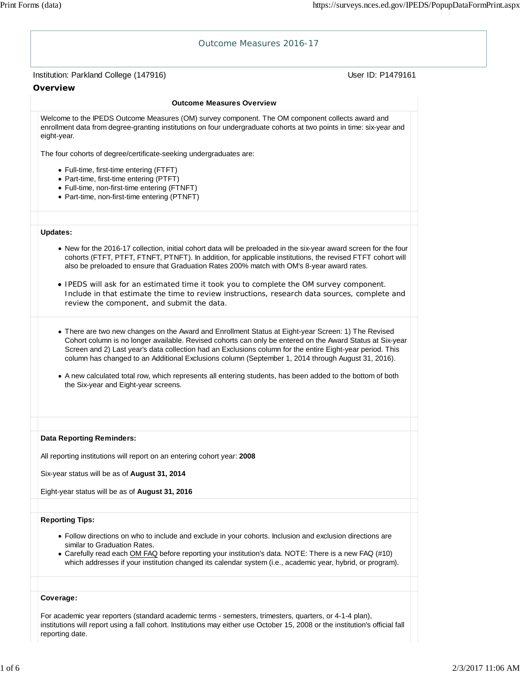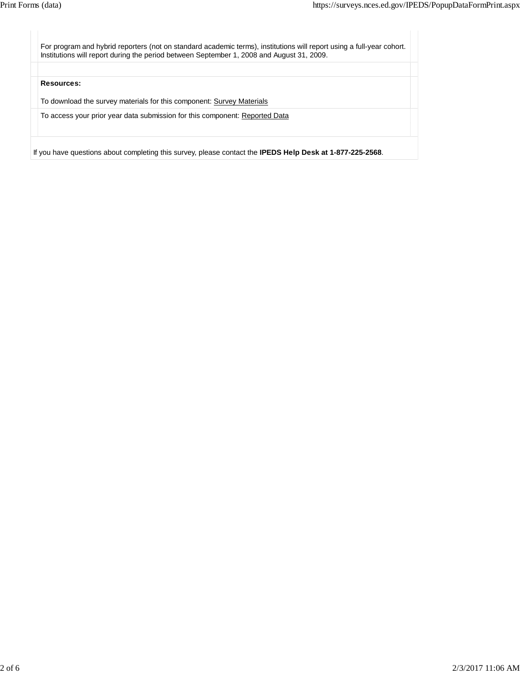For program and hybrid reporters (not on standard academic terms), institutions will report using a full-year cohort. Institutions will report during the period between September 1, 2008 and August 31, 2009. **Resources:** To download the survey materials for this component: Survey Materials To access your prior year data submission for this component: Reported Data

If you have questions about completing this survey, please contact the **IPEDS Help Desk at 1-877-225-2568**.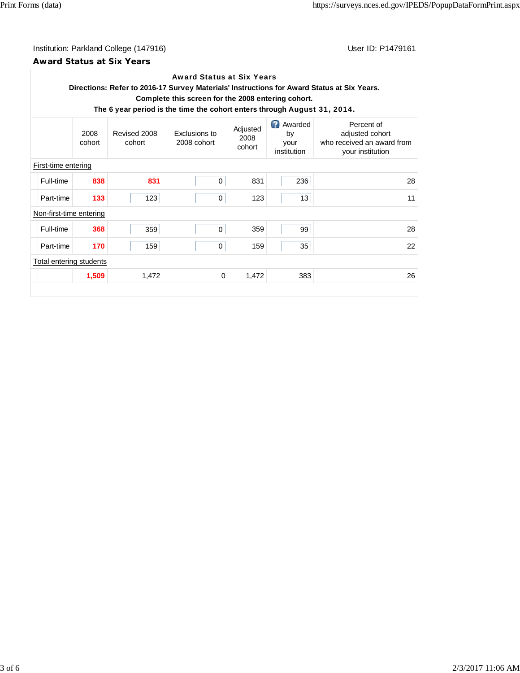# Institution: Parkland College (147916) Contact College (147916)

### **Award Status at Six Years**

| <b>Award Status at Six Years</b><br>Directions: Refer to 2016-17 Survey Materials' Instructions for Award Status at Six Years.<br>Complete this screen for the 2008 entering cohort.<br>The 6 year period is the time the cohort enters through August 31, 2014. |                |                        |                              |                            |                                            |                                                                                 |  |  |
|------------------------------------------------------------------------------------------------------------------------------------------------------------------------------------------------------------------------------------------------------------------|----------------|------------------------|------------------------------|----------------------------|--------------------------------------------|---------------------------------------------------------------------------------|--|--|
|                                                                                                                                                                                                                                                                  | 2008<br>cohort | Revised 2008<br>cohort | Exclusions to<br>2008 cohort | Adjusted<br>2008<br>cohort | Q)<br>Awarded<br>by<br>your<br>institution | Percent of<br>adjusted cohort<br>who received an award from<br>your institution |  |  |
| First-time entering                                                                                                                                                                                                                                              |                |                        |                              |                            |                                            |                                                                                 |  |  |
| Full-time                                                                                                                                                                                                                                                        | 838            | 831                    | 0                            | 831                        | 236                                        | 28                                                                              |  |  |
| Part-time                                                                                                                                                                                                                                                        | 133            | 123                    | 0                            | 123                        | 13                                         | 11                                                                              |  |  |
| Non-first-time entering                                                                                                                                                                                                                                          |                |                        |                              |                            |                                            |                                                                                 |  |  |
| Full-time                                                                                                                                                                                                                                                        | 368            | 359                    | $\Omega$                     | 359                        | 99                                         | 28                                                                              |  |  |
| Part-time                                                                                                                                                                                                                                                        | 170            | 159                    | 0                            | 159                        | 35                                         | 22                                                                              |  |  |
| Total entering students                                                                                                                                                                                                                                          |                |                        |                              |                            |                                            |                                                                                 |  |  |
|                                                                                                                                                                                                                                                                  | 1,509          | 1,472                  | 0                            | 1,472                      | 383                                        | 26                                                                              |  |  |
|                                                                                                                                                                                                                                                                  |                |                        |                              |                            |                                            |                                                                                 |  |  |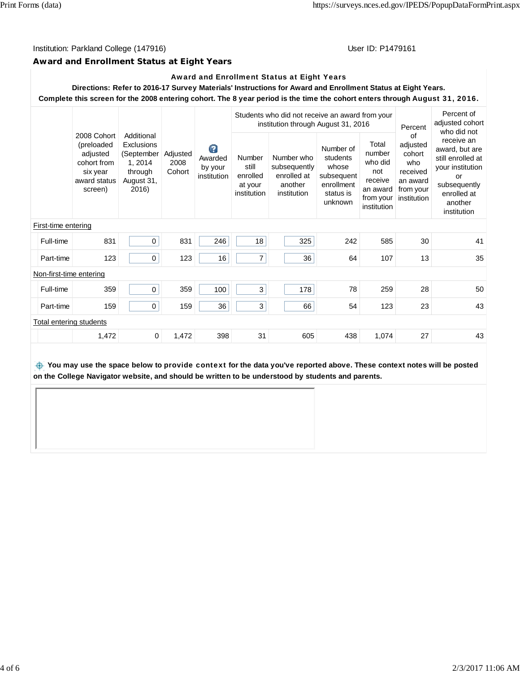#### Institution: Parkland College (147916) November 2012 12: P1479161

### **Award and Enrollment Status at Eight Years**

### Award and Enrollment Status at Eight Years

**Directions: Refer to 2016-17 Survey Materials' Instructions for Award and Enrollment Status at Eight Years. Complete this screen for the 2008 entering cohort. The 8 year period is the time the cohort enters through** August 31, 2016**.**

|                         |                                                                                             |                                                                                            |                            | Ø<br>Awarded<br>by your<br>institution | Students who did not receive an award from your<br>institution through August 31, 2016 |                                                                     |                                                                                    |                                                                                      | Percent                                                                             | Percent of<br>adjusted cohort<br>who did not                                                                                         |
|-------------------------|---------------------------------------------------------------------------------------------|--------------------------------------------------------------------------------------------|----------------------------|----------------------------------------|----------------------------------------------------------------------------------------|---------------------------------------------------------------------|------------------------------------------------------------------------------------|--------------------------------------------------------------------------------------|-------------------------------------------------------------------------------------|--------------------------------------------------------------------------------------------------------------------------------------|
|                         | 2008 Cohort<br>(preloaded<br>adjusted<br>cohort from<br>six year<br>award status<br>screen) | Additional<br><b>Exclusions</b><br>(September<br>1, 2014<br>through<br>August 31,<br>2016) | Adjusted<br>2008<br>Cohort |                                        | Number<br>still<br>enrolled<br>at your<br>institution                                  | Number who<br>subsequently<br>enrolled at<br>another<br>institution | Number of<br>students<br>whose<br>subsequent<br>enrollment<br>status is<br>unknown | Total<br>number<br>who did<br>not<br>receive<br>an award<br>from your<br>institution | of<br>adjusted<br>cohort<br>who<br>received<br>an award<br>from your<br>institution | receive an<br>award, but are<br>still enrolled at<br>your institution<br>or<br>subsequently<br>enrolled at<br>another<br>institution |
| First-time entering     |                                                                                             |                                                                                            |                            |                                        |                                                                                        |                                                                     |                                                                                    |                                                                                      |                                                                                     |                                                                                                                                      |
| Full-time               | 831                                                                                         | $\mathbf 0$                                                                                | 831                        | 246                                    | 18                                                                                     | 325                                                                 | 242                                                                                | 585                                                                                  | 30                                                                                  | 41                                                                                                                                   |
| Part-time               | 123                                                                                         | 0                                                                                          | 123                        | 16                                     | $\overline{7}$                                                                         | 36                                                                  | 64                                                                                 | 107                                                                                  | 13                                                                                  | 35                                                                                                                                   |
| Non-first-time entering |                                                                                             |                                                                                            |                            |                                        |                                                                                        |                                                                     |                                                                                    |                                                                                      |                                                                                     |                                                                                                                                      |
| Full-time               | 359                                                                                         | $\mathbf 0$                                                                                | 359                        | 100                                    | 3                                                                                      | 178                                                                 | 78                                                                                 | 259                                                                                  | 28                                                                                  | 50                                                                                                                                   |
| Part-time               | 159                                                                                         | $\mathbf 0$                                                                                | 159                        | 36                                     | 3                                                                                      | 66                                                                  | 54                                                                                 | 123                                                                                  | 23                                                                                  | 43                                                                                                                                   |
| Total entering students |                                                                                             |                                                                                            |                            |                                        |                                                                                        |                                                                     |                                                                                    |                                                                                      |                                                                                     |                                                                                                                                      |
|                         | 1,472                                                                                       | $\Omega$                                                                                   | 1,472                      | 398                                    | 31                                                                                     | 605                                                                 | 438                                                                                | 1,074                                                                                | 27                                                                                  | 43                                                                                                                                   |
|                         |                                                                                             |                                                                                            |                            |                                        |                                                                                        |                                                                     |                                                                                    |                                                                                      |                                                                                     |                                                                                                                                      |

 **You may use the space below to** provide context **for the data you've reported above. These context notes will be posted on the College Navigator website, and should be written to be understood by students and parents.**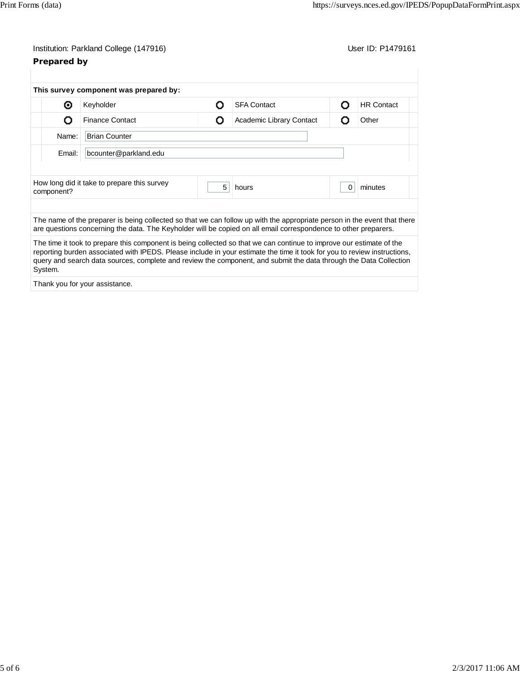|             | Institution: Parkland College (147916)                                                                                                                                                                                                                                                                                                                                |   |                          |   | User ID: P1479161 |  |  |  |
|-------------|-----------------------------------------------------------------------------------------------------------------------------------------------------------------------------------------------------------------------------------------------------------------------------------------------------------------------------------------------------------------------|---|--------------------------|---|-------------------|--|--|--|
| Prepared by |                                                                                                                                                                                                                                                                                                                                                                       |   |                          |   |                   |  |  |  |
|             | This survey component was prepared by:                                                                                                                                                                                                                                                                                                                                |   |                          |   |                   |  |  |  |
| ⊛           | Keyholder                                                                                                                                                                                                                                                                                                                                                             | O | <b>SFA Contact</b>       | О | <b>HR Contact</b> |  |  |  |
| Ο           | <b>Finance Contact</b>                                                                                                                                                                                                                                                                                                                                                | О | Academic Library Contact | О | Other             |  |  |  |
| Name:       | <b>Brian Counter</b>                                                                                                                                                                                                                                                                                                                                                  |   |                          |   |                   |  |  |  |
| Email:      | bcounter@parkland.edu                                                                                                                                                                                                                                                                                                                                                 |   |                          |   |                   |  |  |  |
|             |                                                                                                                                                                                                                                                                                                                                                                       |   |                          |   |                   |  |  |  |
| component?  | How long did it take to prepare this survey                                                                                                                                                                                                                                                                                                                           | 5 | hours                    | 0 | minutes           |  |  |  |
|             |                                                                                                                                                                                                                                                                                                                                                                       |   |                          |   |                   |  |  |  |
|             | The name of the preparer is being collected so that we can follow up with the appropriate person in the event that there<br>are questions concerning the data. The Keyholder will be copied on all email correspondence to other preparers.                                                                                                                           |   |                          |   |                   |  |  |  |
| System.     | The time it took to prepare this component is being collected so that we can continue to improve our estimate of the<br>reporting burden associated with IPEDS. Please include in your estimate the time it took for you to review instructions,<br>query and search data sources, complete and review the component, and submit the data through the Data Collection |   |                          |   |                   |  |  |  |
|             | Thank you for your assistance.                                                                                                                                                                                                                                                                                                                                        |   |                          |   |                   |  |  |  |